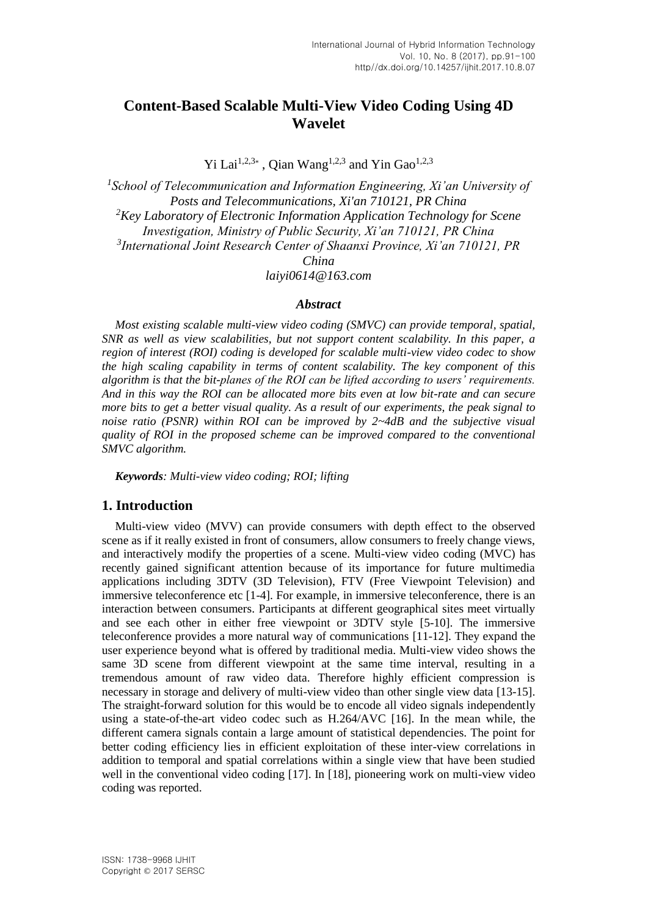# **Content-Based Scalable Multi-View Video Coding Using 4D Wavelet**

Yi Lai<sup>1,2,3\*</sup>, Qian Wang<sup>1,2,3</sup> and Yin Gao<sup>1,2,3</sup>

<sup>1</sup> School of Telecommunication and Information Engineering, Xi'an University of *Posts and Telecommunications, Xi'an 710121, PR China <sup>2</sup>Key Laboratory of Electronic Information Application Technology for Scene Investigation, Ministry of Public Security, Xi'an 710121, PR China 3 International Joint Research Center of Shaanxi Province, Xi'an 710121, PR China laiyi0614@163.com*

#### *Abstract*

*Most existing scalable multi-view video coding (SMVC) can provide temporal, spatial, SNR as well as view scalabilities, but not support content scalability. In this paper, a region of interest (ROI) coding is developed for scalable multi-view video codec to show the high scaling capability in terms of content scalability. The key component of this algorithm is that the bit-planes of the ROI can be lifted according to users' requirements. And in this way the ROI can be allocated more bits even at low bit-rate and can secure more bits to get a better visual quality. As a result of our experiments, the peak signal to noise ratio (PSNR) within ROI can be improved by 2~4dB and the subjective visual quality of ROI in the proposed scheme can be improved compared to the conventional SMVC algorithm.*

*Keywords: Multi-view video coding; ROI; lifting*

### **1. Introduction**

Multi-view video (MVV) can provide consumers with depth effect to the observed scene as if it really existed in front of consumers, allow consumers to freely change views, and interactively modify the properties of a scene. Multi-view video coding (MVC) has recently gained significant attention because of its importance for future multimedia applications including 3DTV (3D Television), FTV (Free Viewpoint Television) and immersive teleconference etc [1-4]. For example, in immersive teleconference, there is an interaction between consumers. Participants at different geographical sites meet virtually and see each other in either free viewpoint or 3DTV style [5-10]. The immersive teleconference provides a more natural way of communications [11-12]. They expand the user experience beyond what is offered by traditional media. Multi-view video shows the same 3D scene from different viewpoint at the same time interval, resulting in a tremendous amount of raw video data. Therefore highly efficient compression is necessary in storage and delivery of multi-view video than other single view data [13-15]. The straight-forward solution for this would be to encode all video signals independently using a state-of-the-art video codec such as H.264/AVC [16]. In the mean while, the different camera signals contain a large amount of statistical dependencies. The point for better coding efficiency lies in efficient exploitation of these inter-view correlations in addition to temporal and spatial correlations within a single view that have been studied well in the conventional video coding [17]. In [18], pioneering work on multi-view video coding was reported.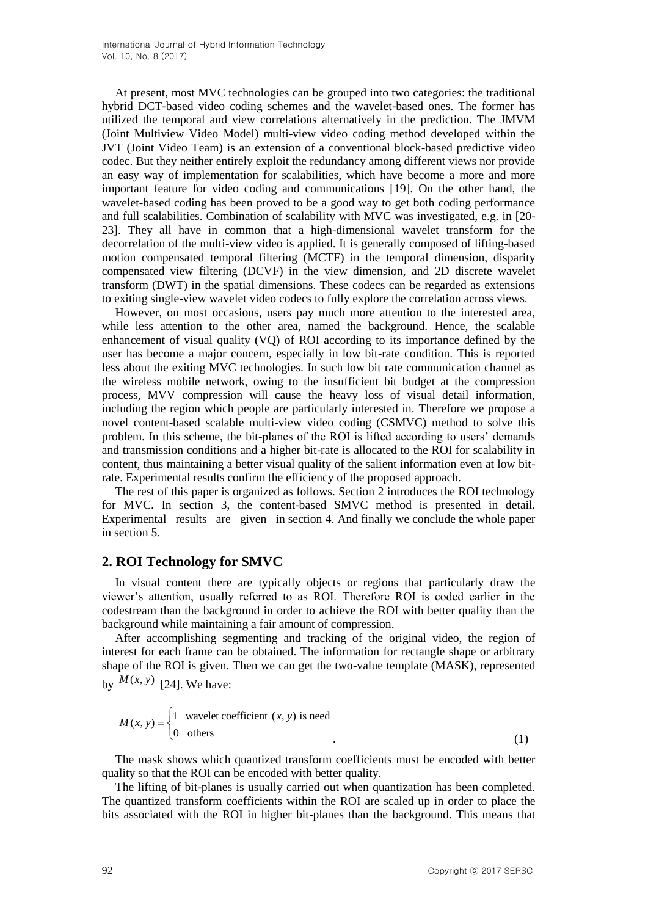At present, most MVC technologies can be grouped into two categories: the traditional hybrid DCT-based video coding schemes and the wavelet-based ones. The former has utilized the temporal and view correlations alternatively in the prediction. The JMVM (Joint Multiview Video Model) multi-view video coding method developed within the JVT (Joint Video Team) is an extension of a conventional block-based predictive video codec. But they neither entirely exploit the redundancy among different views nor provide an easy way of implementation for scalabilities, which have become a more and more important feature for video coding and communications [19]. On the other hand, the wavelet-based coding has been proved to be a good way to get both coding performance and full scalabilities. Combination of scalability with MVC was investigated, e.g. in [20- 23]. They all have in common that a high-dimensional wavelet transform for the decorrelation of the multi-view video is applied. It is generally composed of lifting-based motion compensated temporal filtering (MCTF) in the temporal dimension, disparity compensated view filtering (DCVF) in the view dimension, and 2D discrete wavelet transform (DWT) in the spatial dimensions. These codecs can be regarded as extensions to exiting single-view wavelet video codecs to fully explore the correlation across views.

However, on most occasions, users pay much more attention to the interested area, while less attention to the other area, named the background. Hence, the scalable enhancement of visual quality (VQ) of ROI according to its importance defined by the user has become a major concern, especially in low bit-rate condition. This is reported less about the exiting MVC technologies. In such low bit rate communication channel as the wireless mobile network, owing to the insufficient bit budget at the compression process, MVV compression will cause the heavy loss of visual detail information, including the region which people are particularly interested in. Therefore we propose a novel content-based scalable multi-view video coding (CSMVC) method to solve this problem. In this scheme, the bit-planes of the ROI is lifted according to users' demands and transmission conditions and a higher bit-rate is allocated to the ROI for scalability in content, thus maintaining a better visual quality of the salient information even at low bitrate. Experimental results confirm the efficiency of the proposed approach.

The rest of this paper is organized as follows. Section 2 introduces the ROI technology for MVC. In section 3, the content-based SMVC method is presented in detail. Experimental results are given in section 4. And finally we conclude the whole paper in section 5.

### **2. ROI Technology for SMVC**

In visual content there are typically objects or regions that particularly draw the viewer's attention, usually referred to as ROI. Therefore ROI is coded earlier in the codestream than the background in order to achieve the ROI with better quality than the background while maintaining a fair amount of compression.

After accomplishing segmenting and tracking of the original video, the region of interest for each frame can be obtained. The information for rectangle shape or arbitrary shape of the ROI is given. Then we can get the two-value template (MASK), represented by  $M(x, y)$  [24]. We have:

$$
M(x, y) = \begin{cases} 1 & \text{wavelet coefficient } (x, y) \text{ is need} \\ 0 & \text{others} \end{cases}
$$
 (1)

The mask shows which quantized transform coefficients must be encoded with better quality so that the ROI can be encoded with better quality.

The lifting of bit-planes is usually carried out when quantization has been completed. The quantized transform coefficients within the ROI are scaled up in order to place the bits associated with the ROI in higher bit-planes than the background. This means that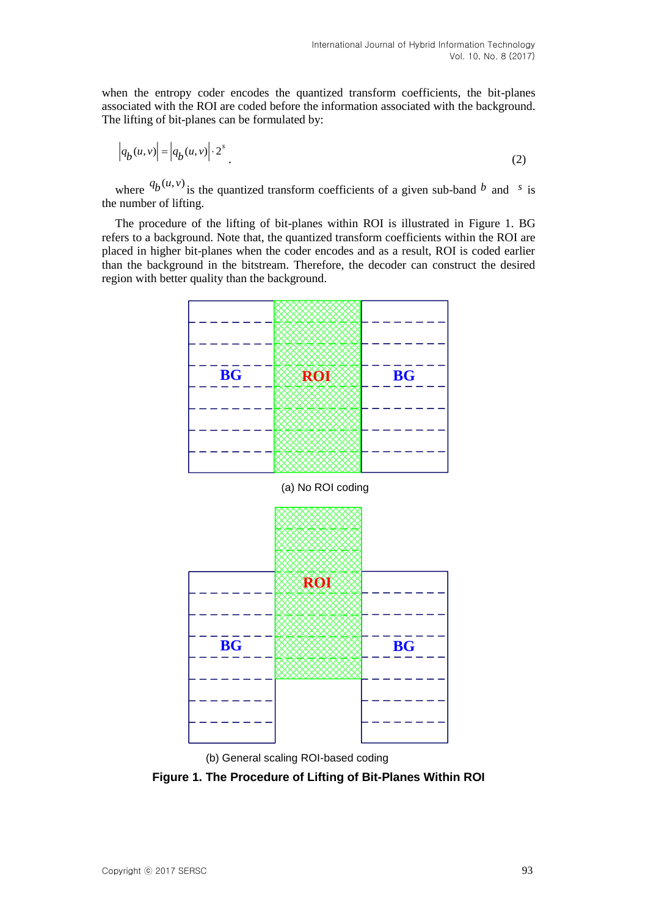when the entropy coder encodes the quantized transform coefficients, the bit-planes associated with the ROI are coded before the information associated with the background. The lifting of bit-planes can be formulated by:

$$
\left| q_b(u,v) \right| = \left| q_b(u,v) \right| \cdot 2^s \tag{2}
$$

where  ${}^{q}b^{(u,v)}$  is the quantized transform coefficients of a given sub-band b and s is the number of lifting.

The procedure of the lifting of bit-planes within ROI is illustrated in Figure 1. BG refers to a background. Note that, the quantized transform coefficients within the ROI are placed in higher bit-planes when the coder encodes and as a result, ROI is coded earlier than the background in the bitstream. Therefore, the decoder can construct the desired region with better quality than the background.





**Figure 1. The Procedure of Lifting of Bit-Planes Within ROI**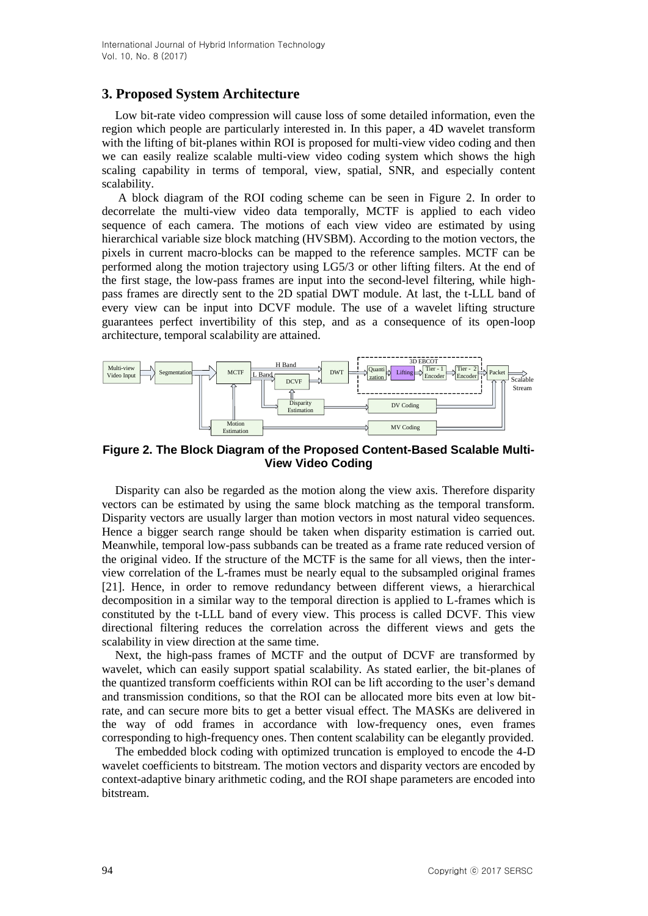## **3. Proposed System Architecture**

Low bit-rate video compression will cause loss of some detailed information, even the region which people are particularly interested in. In this paper, a 4D wavelet transform with the lifting of bit-planes within ROI is proposed for multi-view video coding and then we can easily realize scalable multi-view video coding system which shows the high scaling capability in terms of temporal, view, spatial, SNR, and especially content scalability.

A block diagram of the ROI coding scheme can be seen in Figure 2. In order to decorrelate the multi-view video data temporally, MCTF is applied to each video sequence of each camera. The motions of each view video are estimated by using hierarchical variable size block matching (HVSBM). According to the motion vectors, the pixels in current macro-blocks can be mapped to the reference samples. MCTF can be performed along the motion trajectory using LG5/3 or other lifting filters. At the end of the first stage, the low-pass frames are input into the second-level filtering, while highpass frames are directly sent to the 2D spatial DWT module. At last, the t-LLL band of every view can be input into DCVF module. The use of a wavelet lifting structure guarantees perfect invertibility of this step, and as a consequence of its open-loop architecture, temporal scalability are attained.



**Figure 2. The Block Diagram of the Proposed Content-Based Scalable Multi-View Video Coding**

Disparity can also be regarded as the motion along the view axis. Therefore disparity vectors can be estimated by using the same block matching as the temporal transform. Disparity vectors are usually larger than motion vectors in most natural video sequences. Hence a bigger search range should be taken when disparity estimation is carried out. Meanwhile, temporal low-pass subbands can be treated as a frame rate reduced version of the original video. If the structure of the MCTF is the same for all views, then the interview correlation of the L-frames must be nearly equal to the subsampled original frames [21]. Hence, in order to remove redundancy between different views, a hierarchical decomposition in a similar way to the temporal direction is applied to L-frames which is constituted by the t-LLL band of every view. This process is called DCVF. This view directional filtering reduces the correlation across the different views and gets the scalability in view direction at the same time.

Next, the high-pass frames of MCTF and the output of DCVF are transformed by wavelet, which can easily support spatial scalability. As stated earlier, the bit-planes of the quantized transform coefficients within ROI can be lift according to the user's demand and transmission conditions, so that the ROI can be allocated more bits even at low bitrate, and can secure more bits to get a better visual effect. The MASKs are delivered in the way of odd frames in accordance with low-frequency ones, even frames corresponding to high-frequency ones. Then content scalability can be elegantly provided.

The embedded block coding with optimized truncation is employed to encode the 4-D wavelet coefficients to bitstream. The motion vectors and disparity vectors are encoded by context-adaptive binary arithmetic coding, and the ROI shape parameters are encoded into bitstream.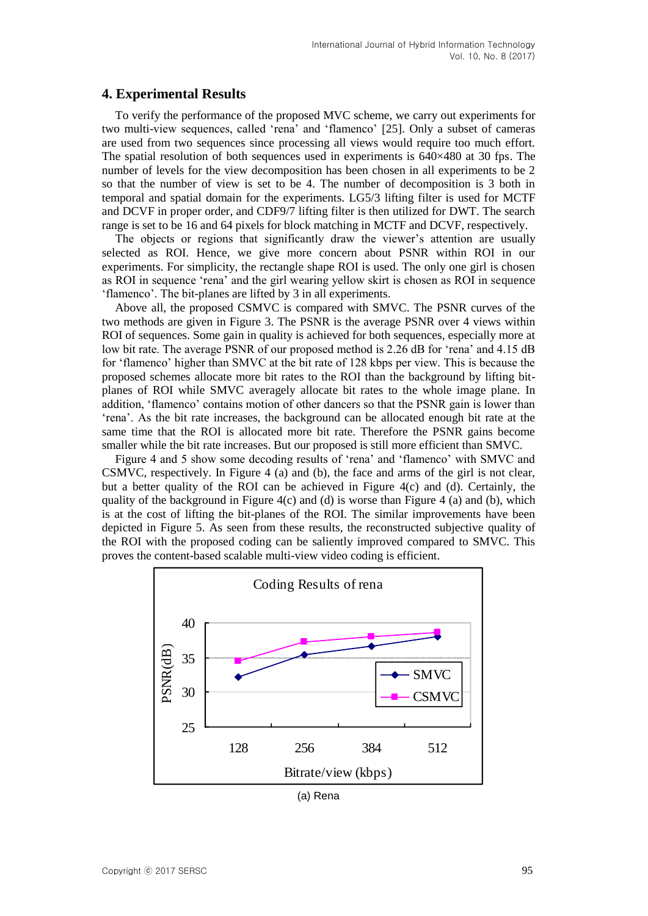## **4. Experimental Results**

To verify the performance of the proposed MVC scheme, we carry out experiments for two multi-view sequences, called 'rena' and 'flamenco' [25]. Only a subset of cameras are used from two sequences since processing all views would require too much effort. The spatial resolution of both sequences used in experiments is  $640\times480$  at 30 fps. The number of levels for the view decomposition has been chosen in all experiments to be 2 so that the number of view is set to be 4. The number of decomposition is 3 both in temporal and spatial domain for the experiments. LG5/3 lifting filter is used for MCTF and DCVF in proper order, and CDF9/7 lifting filter is then utilized for DWT. The search range is set to be 16 and 64 pixels for block matching in MCTF and DCVF, respectively.

The objects or regions that significantly draw the viewer's attention are usually selected as ROI. Hence, we give more concern about PSNR within ROI in our experiments. For simplicity, the rectangle shape ROI is used. The only one girl is chosen as ROI in sequence 'rena' and the girl wearing yellow skirt is chosen as ROI in sequence 'flamenco'. The bit-planes are lifted by 3 in all experiments.

Above all, the proposed CSMVC is compared with SMVC. The PSNR curves of the two methods are given in Figure 3. The PSNR is the average PSNR over 4 views within ROI of sequences. Some gain in quality is achieved for both sequences, especially more at low bit rate. The average PSNR of our proposed method is 2.26 dB for 'rena' and 4.15 dB for 'flamenco' higher than SMVC at the bit rate of 128 kbps per view. This is because the proposed schemes allocate more bit rates to the ROI than the background by lifting bitplanes of ROI while SMVC averagely allocate bit rates to the whole image plane. In addition, 'flamenco' contains motion of other dancers so that the PSNR gain is lower than 'rena'. As the bit rate increases, the background can be allocated enough bit rate at the same time that the ROI is allocated more bit rate. Therefore the PSNR gains become smaller while the bit rate increases. But our proposed is still more efficient than SMVC.

Figure 4 and 5 show some decoding results of 'rena' and 'flamenco' with SMVC and CSMVC, respectively. In Figure 4 (a) and (b), the face and arms of the girl is not clear, but a better quality of the ROI can be achieved in Figure 4(c) and (d). Certainly, the quality of the background in Figure 4(c) and (d) is worse than Figure 4 (a) and (b), which is at the cost of lifting the bit-planes of the ROI. The similar improvements have been depicted in Figure 5. As seen from these results, the reconstructed subjective quality of the ROI with the proposed coding can be saliently improved compared to SMVC. This proves the content-based scalable multi-view video coding is efficient.



(a) Rena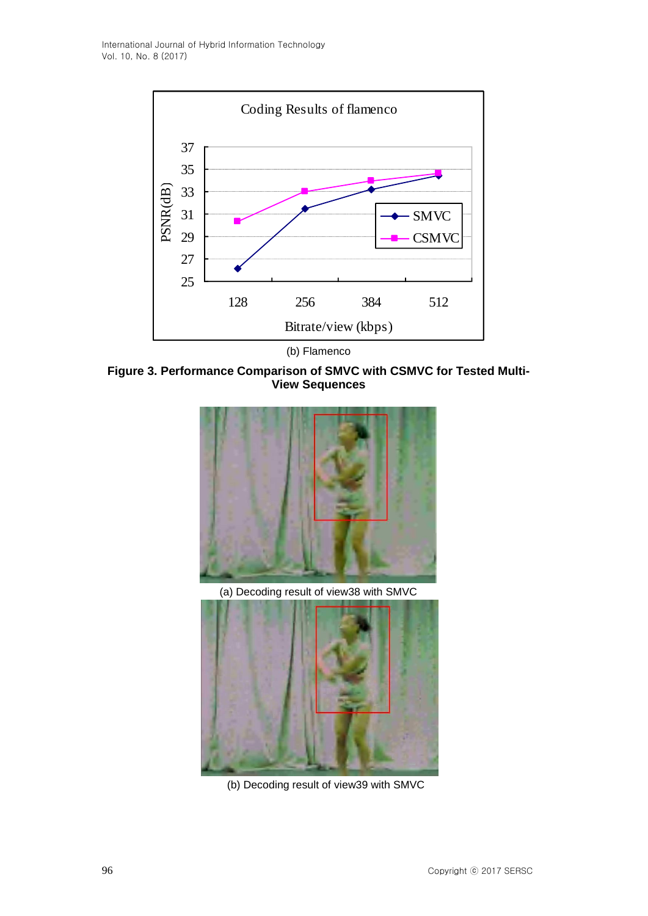

(b) Flamenco

**Figure 3. Performance Comparison of SMVC with CSMVC for Tested Multi-View Sequences**



(b) Decoding result of view39 with SMVC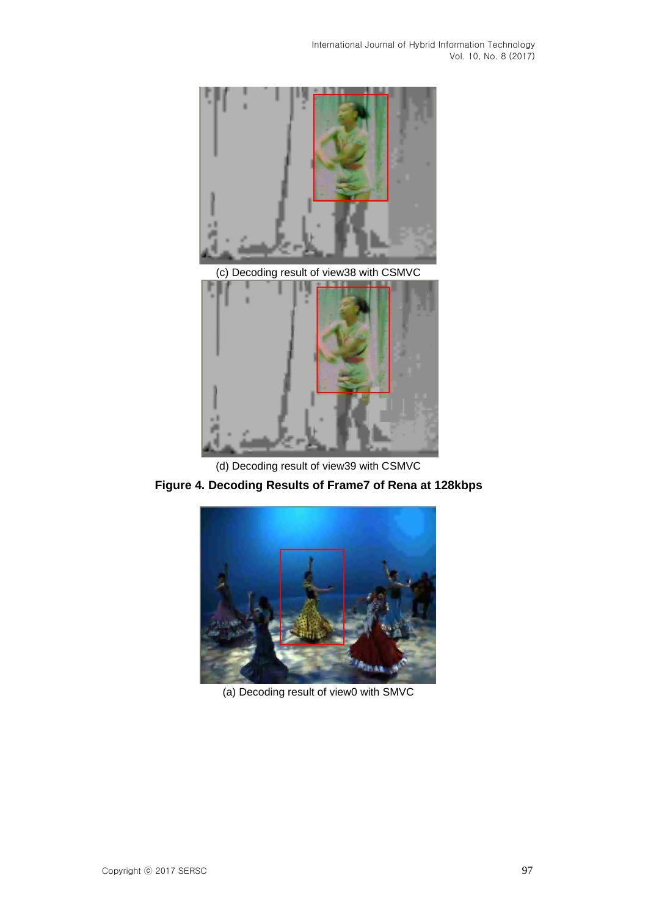

(d) Decoding result of view39 with CSMVC





(a) Decoding result of view0 with SMVC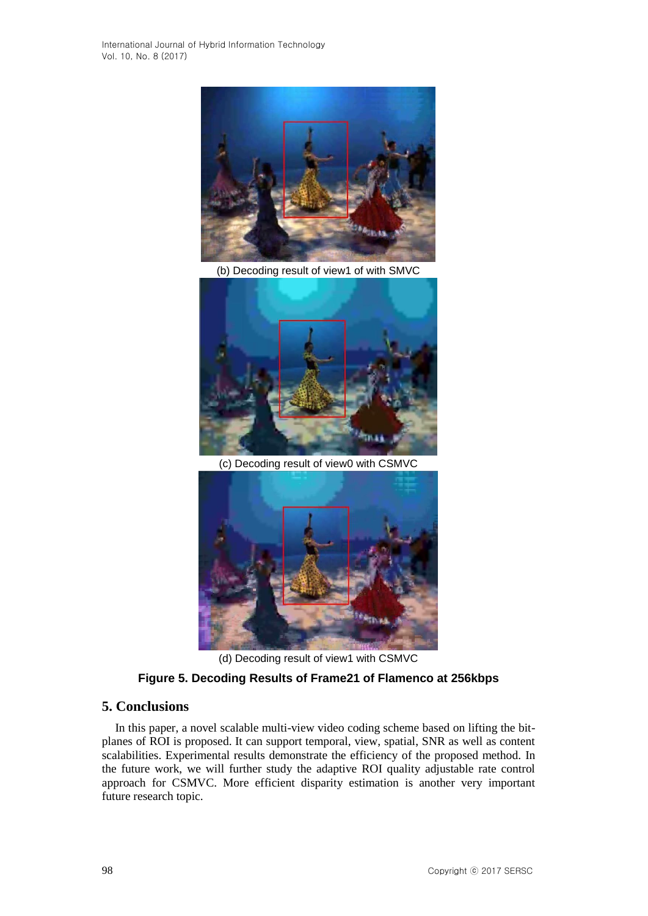International Journal of Hybrid Information Technology Vol. 10, No. 8 (2017)



(b) Decoding result of view1 of with SMVC



(c) Decoding result of view0 with CSMVC



(d) Decoding result of view1 with CSMVC

## **Figure 5. Decoding Results of Frame21 of Flamenco at 256kbps**

## **5. Conclusions**

In this paper, a novel scalable multi-view video coding scheme based on lifting the bitplanes of ROI is proposed. It can support temporal, view, spatial, SNR as well as content scalabilities. Experimental results demonstrate the efficiency of the proposed method. In the future work, we will further study the adaptive ROI quality adjustable rate control approach for CSMVC. More efficient disparity estimation is another very important future research topic.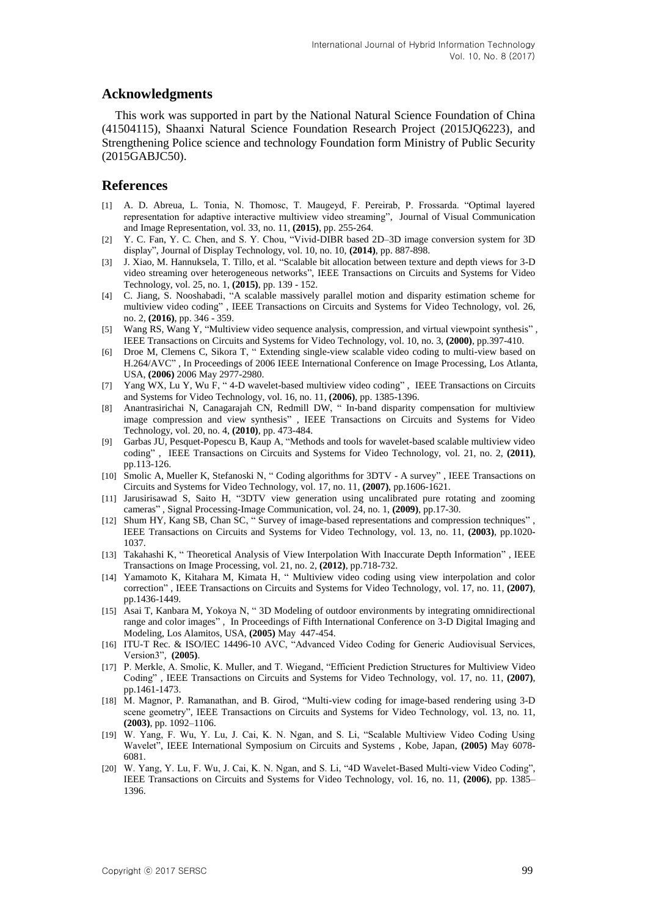### **Acknowledgments**

This work was supported in part by the National Natural Science Foundation of China (41504115), Shaanxi Natural Science Foundation Research Project (2015JQ6223), and Strengthening Police science and technology Foundation form Ministry of Public Security (2015GABJC50).

#### **References**

- [1] A. D. Abreua, L. Tonia, N. Thomosc, T. Maugeyd, F. Pereirab, P. Frossarda. "Optimal layered representation for adaptive interactive multiview video streaming", Journal of Visual Communication and Image Representation, vol. 33, no. 11, **(2015)**, pp. 255-264.
- [2] Y. C. Fan, Y. C. Chen, and S. Y. Chou, "Vivid-DIBR based 2D–3D image conversion system for 3D display", Journal of Display Technology, vol. 10, no. 10, **(2014)**, pp. 887-898.
- [3] J. Xiao, M. Hannuksela, T. Tillo, et al. "Scalable bit allocation between texture and depth views for 3-D video streaming over heterogeneous networks", IEEE Transactions on Circuits and Systems for Video Technology, vol. 25, no. 1, **(2015)**, pp. 139 - 152.
- [4] C. Jiang, S. Nooshabadi, "A scalable massively parallel motion and disparity estimation scheme for multiview video coding" , IEEE Transactions on Circuits and Systems for Video Technology, vol. 26, no. 2, **(2016)**, pp. 346 - 359.
- [5] Wang RS, Wang Y, "Multiview video sequence analysis, compression, and virtual viewpoint synthesis" , IEEE Transactions on Circuits and Systems for Video Technology, vol. 10, no. 3, **(2000)**, pp.397-410.
- [6] Droe M, Clemens C, Sikora T, " Extending single-view scalable video coding to multi-view based on H.264/AVC" , In Proceedings of 2006 IEEE International Conference on Image Processing, Los Atlanta, USA, **(2006)** 2006 May 2977-2980.
- [7] Yang WX, Lu Y, Wu F, " 4-D wavelet-based multiview video coding" , IEEE Transactions on Circuits and Systems for Video Technology, vol. 16, no. 11, **(2006)**, pp. 1385-1396.
- [8] Anantrasirichai N, Canagarajah CN, Redmill DW, " In-band disparity compensation for multiview image compression and view synthesis" , IEEE Transactions on Circuits and Systems for Video Technology, vol. 20, no. 4, **(2010)**, pp. 473-484.
- [9] Garbas JU, Pesquet-Popescu B, Kaup A, "Methods and tools for wavelet-based scalable multiview video coding" , IEEE Transactions on Circuits and Systems for Video Technology, vol. 21, no. 2, **(2011)**, pp.113-126.
- [10] Smolic A, Mueller K, Stefanoski N, " Coding algorithms for 3DTV A survey" , IEEE Transactions on Circuits and Systems for Video Technology, vol. 17, no. 11, **(2007)**, pp.1606-1621.
- [11] Jarusirisawad S, Saito H, "3DTV view generation using uncalibrated pure rotating and zooming cameras" , Signal Processing-Image Communication, vol. 24, no. 1, **(2009)**, pp.17-30.
- [12] Shum HY, Kang SB, Chan SC, " Survey of image-based representations and compression techniques" , IEEE Transactions on Circuits and Systems for Video Technology, vol. 13, no. 11, **(2003)**, pp.1020- 1037.
- [13] Takahashi K, " Theoretical Analysis of View Interpolation With Inaccurate Depth Information" , IEEE Transactions on Image Processing, vol. 21, no. 2, **(2012)**, pp.718-732.
- [14] Yamamoto K, Kitahara M, Kimata H, " Multiview video coding using view interpolation and color correction" , IEEE Transactions on Circuits and Systems for Video Technology, vol. 17, no. 11, **(2007)**, pp.1436-1449.
- [15] Asai T, Kanbara M, Yokoya N, " 3D Modeling of outdoor environments by integrating omnidirectional range and color images" , In Proceedings of Fifth International Conference on 3-D Digital Imaging and Modeling, Los Alamitos, USA, **(2005)** May 447-454.
- [16] ITU-T Rec. & ISO/IEC 14496-10 AVC, "Advanced Video Coding for Generic Audiovisual Services, Version3", **(2005)**.
- [17] P. Merkle, A. Smolic, K. Muller, and T. Wiegand, "Efficient Prediction Structures for Multiview Video Coding" , IEEE Transactions on Circuits and Systems for Video Technology, vol. 17, no. 11, **(2007)**, pp.1461-1473.
- [18] M. Magnor, P. Ramanathan, and B. Girod, "Multi-view coding for image-based rendering using 3-D scene geometry", IEEE Transactions on Circuits and Systems for Video Technology, vol. 13, no. 11, **(2003)**, pp. 1092–1106.
- [19] W. Yang, F. Wu, Y. Lu, J. Cai, K. N. Ngan, and S. Li, "Scalable Multiview Video Coding Using Wavelet", IEEE International Symposium on Circuits and Systems , Kobe, Japan, **(2005)** May 6078- 6081.
- [20] W. Yang, Y. Lu, F. Wu, J. Cai, K. N. Ngan, and S. Li, "4D Wavelet-Based Multi-view Video Coding", IEEE Transactions on Circuits and Systems for Video Technology, vol. 16, no. 11, **(2006)**, pp. 1385– 1396.